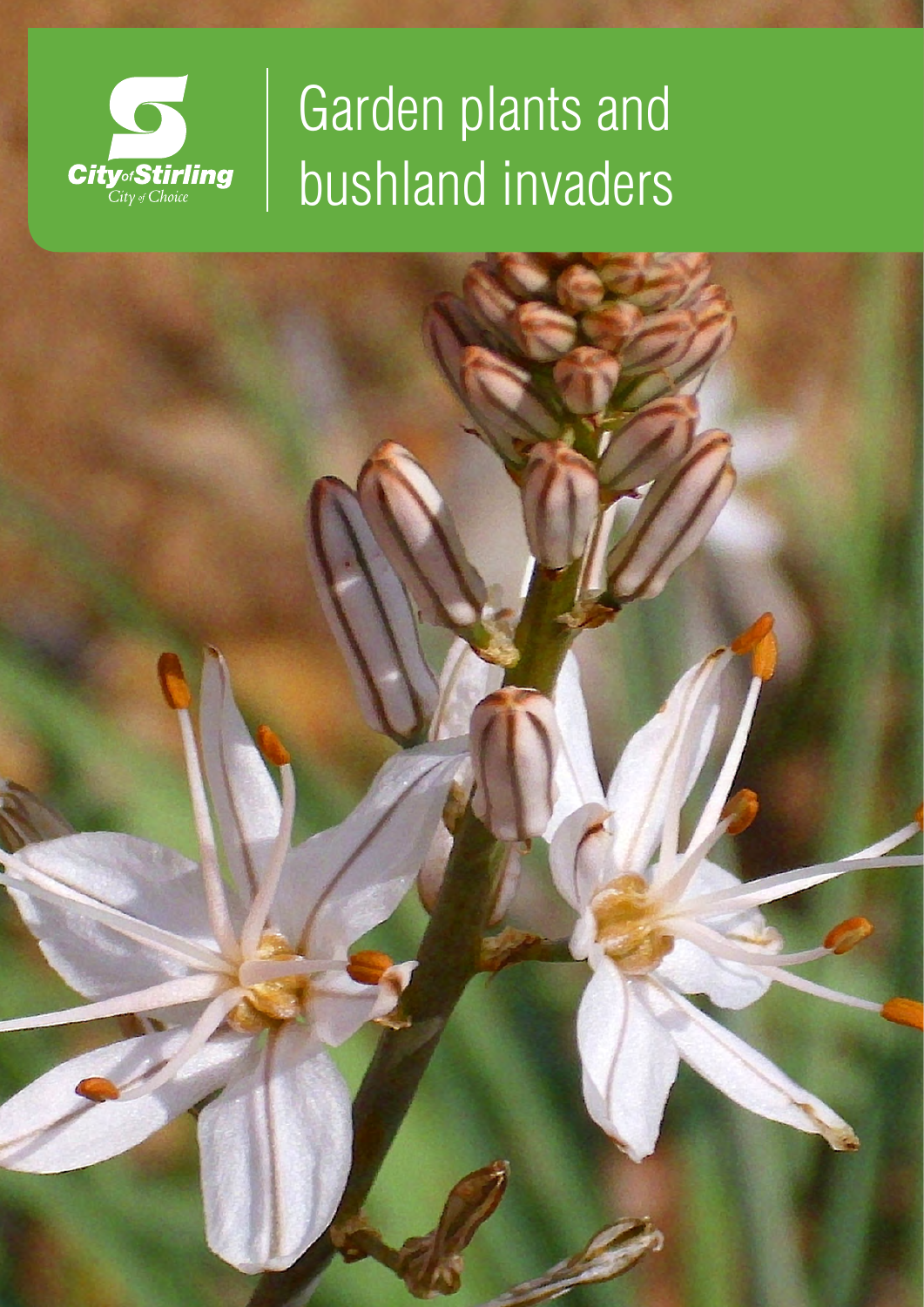

# Garden plants and bushland invaders

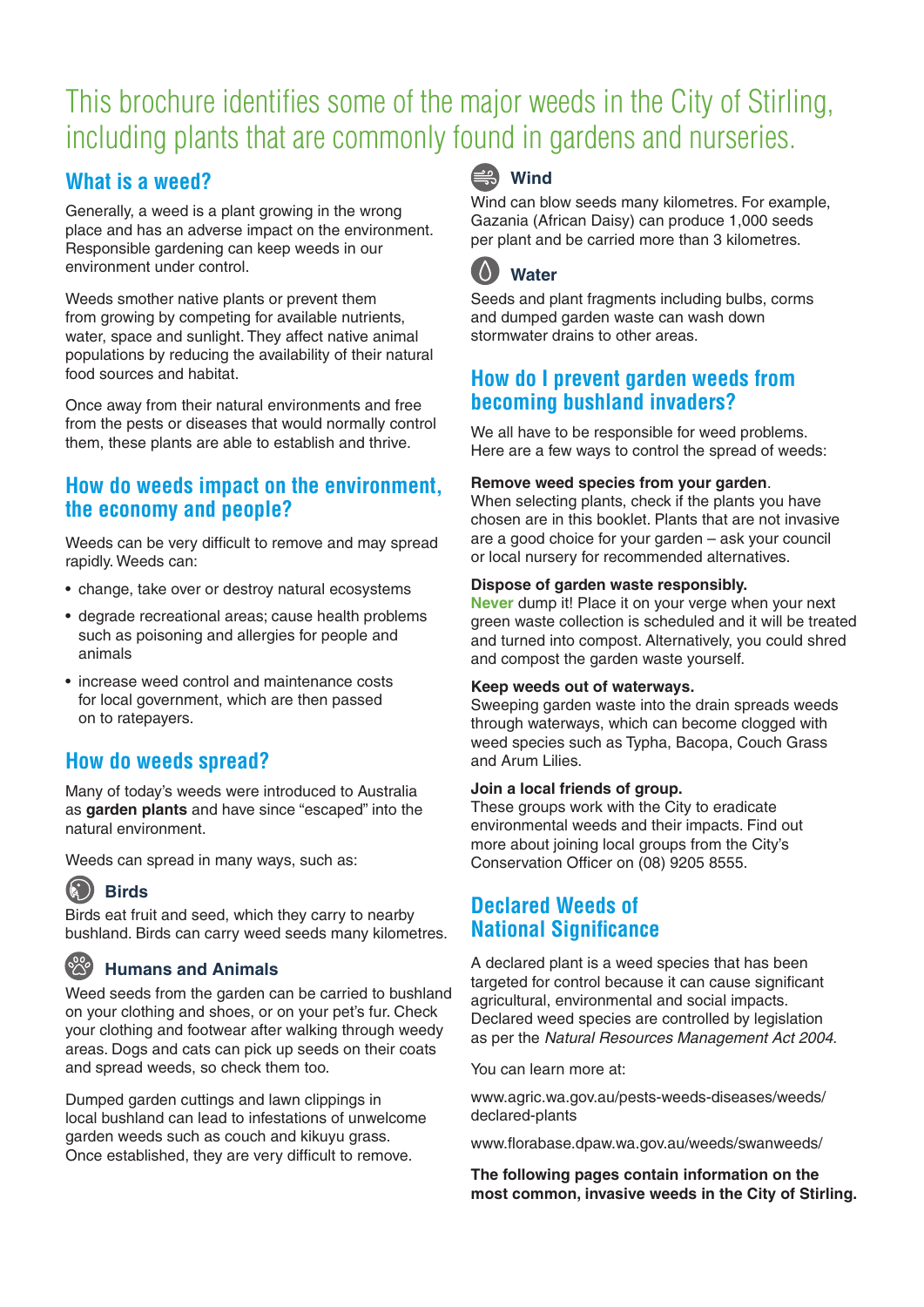# This brochure identifies some of the major weeds in the City of Stirling, including plants that are commonly found in gardens and nurseries.

# **What is a weed?**

Generally, a weed is a plant growing in the wrong place and has an adverse impact on the environment. Responsible gardening can keep weeds in our environment under control.

Weeds smother native plants or prevent them from growing by competing for available nutrients, water, space and sunlight. They affect native animal populations by reducing the availability of their natural food sources and habitat.

Once away from their natural environments and free from the pests or diseases that would normally control them, these plants are able to establish and thrive.

# **How do weeds impact on the environment, the economy and people?**

Weeds can be very difficult to remove and may spread rapidly. Weeds can:

- change, take over or destroy natural ecosystems
- degrade recreational areas; cause health problems such as poisoning and allergies for people and animals
- increase weed control and maintenance costs for local government, which are then passed on to ratepayers.

# **How do weeds spread?**

Many of today's weeds were introduced to Australia as **garden plants** and have since "escaped" into the natural environment.

Weeds can spread in many ways, such as:

# **Birds**

Birds eat fruit and seed, which they carry to nearby bushland. Birds can carry weed seeds many kilometres.

# **Humans and Animals**

Weed seeds from the garden can be carried to bushland on your clothing and shoes, or on your pet's fur. Check your clothing and footwear after walking through weedy areas. Dogs and cats can pick up seeds on their coats and spread weeds, so check them too.

Dumped garden cuttings and lawn clippings in local bushland can lead to infestations of unwelcome garden weeds such as couch and kikuyu grass. Once established, they are very difficult to remove.

# **Wind**

Wind can blow seeds many kilometres. For example, Gazania (African Daisy) can produce 1,000 seeds per plant and be carried more than 3 kilometres.

# **Water**

Seeds and plant fragments including bulbs, corms and dumped garden waste can wash down stormwater drains to other areas.

# **How do I prevent garden weeds from becoming bushland invaders?**

We all have to be responsible for weed problems. Here are a few ways to control the spread of weeds:

#### **Remove weed species from your garden**.

When selecting plants, check if the plants you have chosen are in this booklet. Plants that are not invasive are a good choice for your garden – ask your council or local nursery for recommended alternatives.

#### **Dispose of garden waste responsibly.**

**Never** dump it! Place it on your verge when your next green waste collection is scheduled and it will be treated and turned into compost. Alternatively, you could shred and compost the garden waste yourself.

#### **Keep weeds out of waterways.**

Sweeping garden waste into the drain spreads weeds through waterways, which can become clogged with weed species such as Typha, Bacopa, Couch Grass and Arum Lilies.

#### **Join a local friends of group.**

These groups work with the City to eradicate environmental weeds and their impacts. Find out more about joining local groups from the City's Conservation Officer on (08) 9205 8555.

# **Declared Weeds of National Significance**

A declared plant is a weed species that has been targeted for control because it can cause significant agricultural, environmental and social impacts. Declared weed species are controlled by legislation as per the *Natural Resources Management Act 2004*.

You can learn more at:

[www.agric.wa.gov.au/pests-weeds-diseases/weeds/](http://www.agric.wa.gov.au/pests-weeds-diseases/weeds/) declared-plants

[www.florabase.dpaw.wa.gov.au/weeds/swanweeds/](http://www.florabase.dpaw.wa.gov.au/weeds/swanweeds/)

**The following pages contain information on the most common, invasive weeds in the City of Stirling.**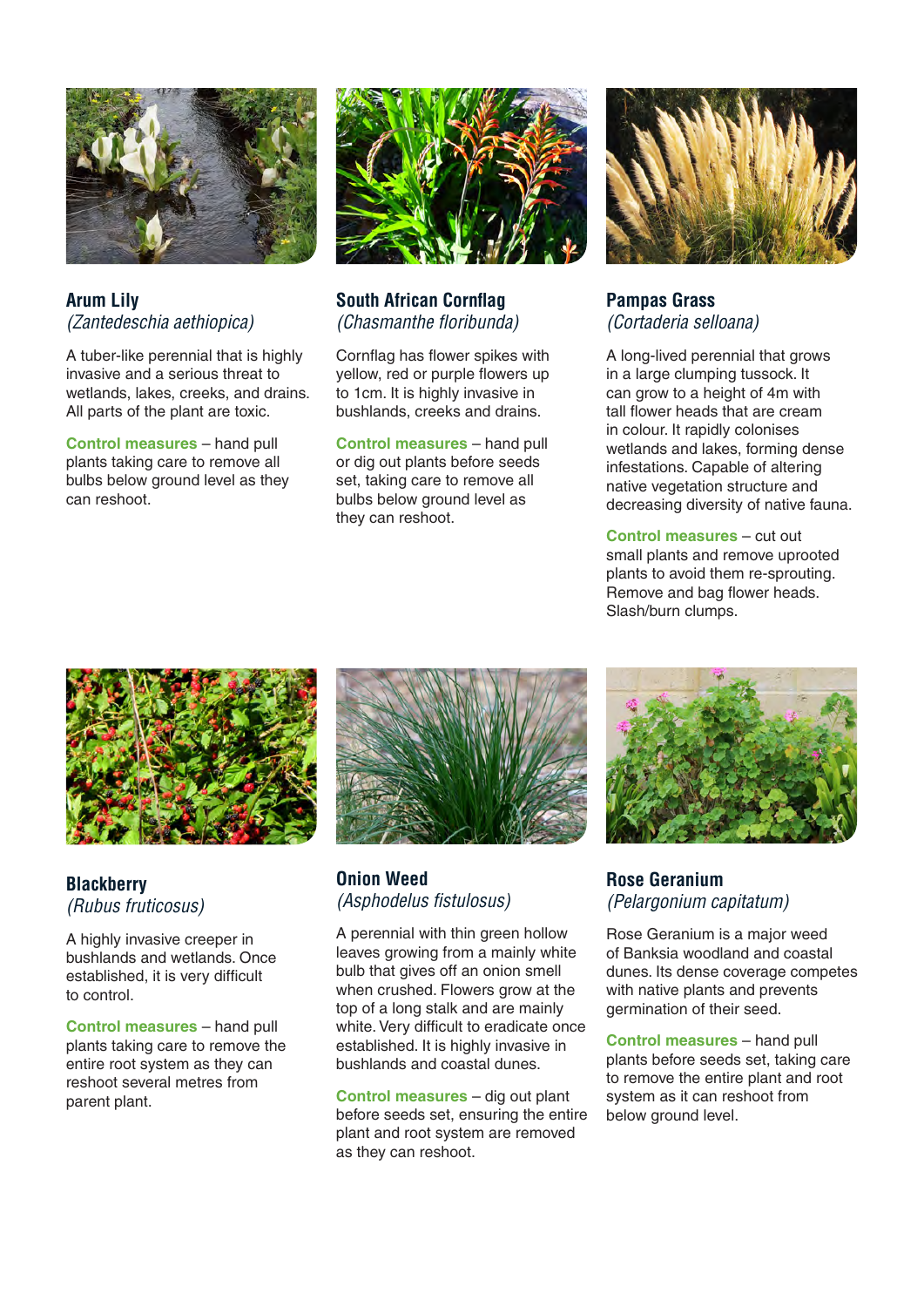

#### **Arum Lily**  *(Zantedeschia aethiopica)*

A tuber-like perennial that is highly invasive and a serious threat to wetlands, lakes, creeks, and drains. All parts of the plant are toxic.

**Control measures** – hand pull plants taking care to remove all bulbs below ground level as they can reshoot.



#### **South African Cornflag** *(Chasmanthe floribunda)*

Cornflag has flower spikes with yellow, red or purple flowers up to 1cm. It is highly invasive in bushlands, creeks and drains.

**Control measures** – hand pull or dig out plants before seeds set, taking care to remove all bulbs below ground level as they can reshoot.



### **Pampas Grass**  *(Cortaderia selloana)*

A long-lived perennial that grows in a large clumping tussock. It can grow to a height of 4m with tall flower heads that are cream in colour. It rapidly colonises wetlands and lakes, forming dense infestations. Capable of altering native vegetation structure and decreasing diversity of native fauna.

**Control measures** – cut out small plants and remove uprooted plants to avoid them re-sprouting. Remove and bag flower heads. Slash/burn clumps.



#### **Blackberry**  *(Rubus fruticosus)*

A highly invasive creeper in bushlands and wetlands. Once established, it is very difficult to control.

**Control measures** – hand pull plants taking care to remove the entire root system as they can reshoot several metres from parent plant.



#### **Onion Weed**  *(Asphodelus fistulosus)*

A perennial with thin green hollow leaves growing from a mainly white bulb that gives off an onion smell when crushed. Flowers grow at the top of a long stalk and are mainly white. Very difficult to eradicate once established. It is highly invasive in bushlands and coastal dunes.

**Control measures** – dig out plant before seeds set, ensuring the entire plant and root system are removed as they can reshoot.



#### **Rose Geranium**  *(Pelargonium capitatum)*

Rose Geranium is a major weed of Banksia woodland and coastal dunes. Its dense coverage competes with native plants and prevents germination of their seed.

**Control measures** – hand pull plants before seeds set, taking care to remove the entire plant and root system as it can reshoot from below ground level.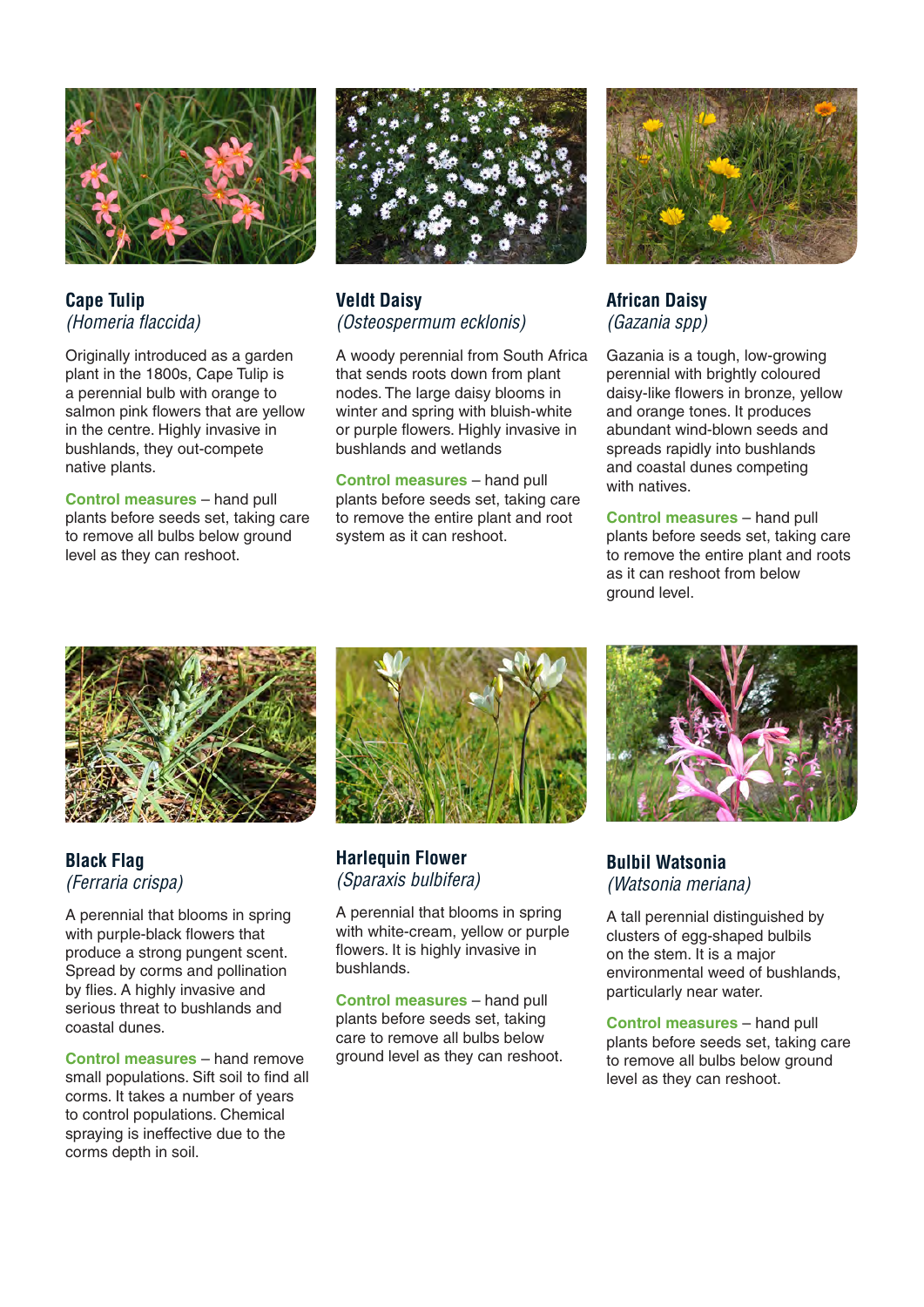

**Cape Tulip**  *(Homeria flaccida)* 

Originally introduced as a garden plant in the 1800s, Cape Tulip is a perennial bulb with orange to salmon pink flowers that are yellow in the centre. Highly invasive in bushlands, they out-compete native plants.

**Control measures** – hand pull plants before seeds set, taking care to remove all bulbs below ground level as they can reshoot.



#### **Veldt Daisy**  *(Osteospermum ecklonis)*

A woody perennial from South Africa that sends roots down from plant nodes. The large daisy blooms in winter and spring with bluish-white or purple flowers. Highly invasive in bushlands and wetlands

**Control measures** – hand pull plants before seeds set, taking care to remove the entire plant and root system as it can reshoot.



#### **African Daisy**  *(Gazania spp)*

Gazania is a tough, low-growing perennial with brightly coloured daisy-like flowers in bronze, yellow and orange tones. It produces abundant wind-blown seeds and spreads rapidly into bushlands and coastal dunes competing with natives.

**Control measures** – hand pull plants before seeds set, taking care to remove the entire plant and roots as it can reshoot from below ground level.



# **Black Flag**  *(Ferraria crispa)*

A perennial that blooms in spring with purple-black flowers that produce a strong pungent scent. Spread by corms and pollination by flies. A highly invasive and serious threat to bushlands and coastal dunes.

**Control measures** – hand remove small populations. Sift soil to find all corms. It takes a number of years to control populations. Chemical spraying is ineffective due to the corms depth in soil.



**Harlequin Flower**  *(Sparaxis bulbifera)*

A perennial that blooms in spring with white-cream, yellow or purple flowers. It is highly invasive in bushlands.

**Control measures** – hand pull plants before seeds set, taking care to remove all bulbs below ground level as they can reshoot.



#### **Bulbil Watsonia**  *(Watsonia meriana)*

A tall perennial distinguished by clusters of egg-shaped bulbils on the stem. It is a major environmental weed of bushlands, particularly near water.

**Control measures** – hand pull plants before seeds set, taking care to remove all bulbs below ground level as they can reshoot.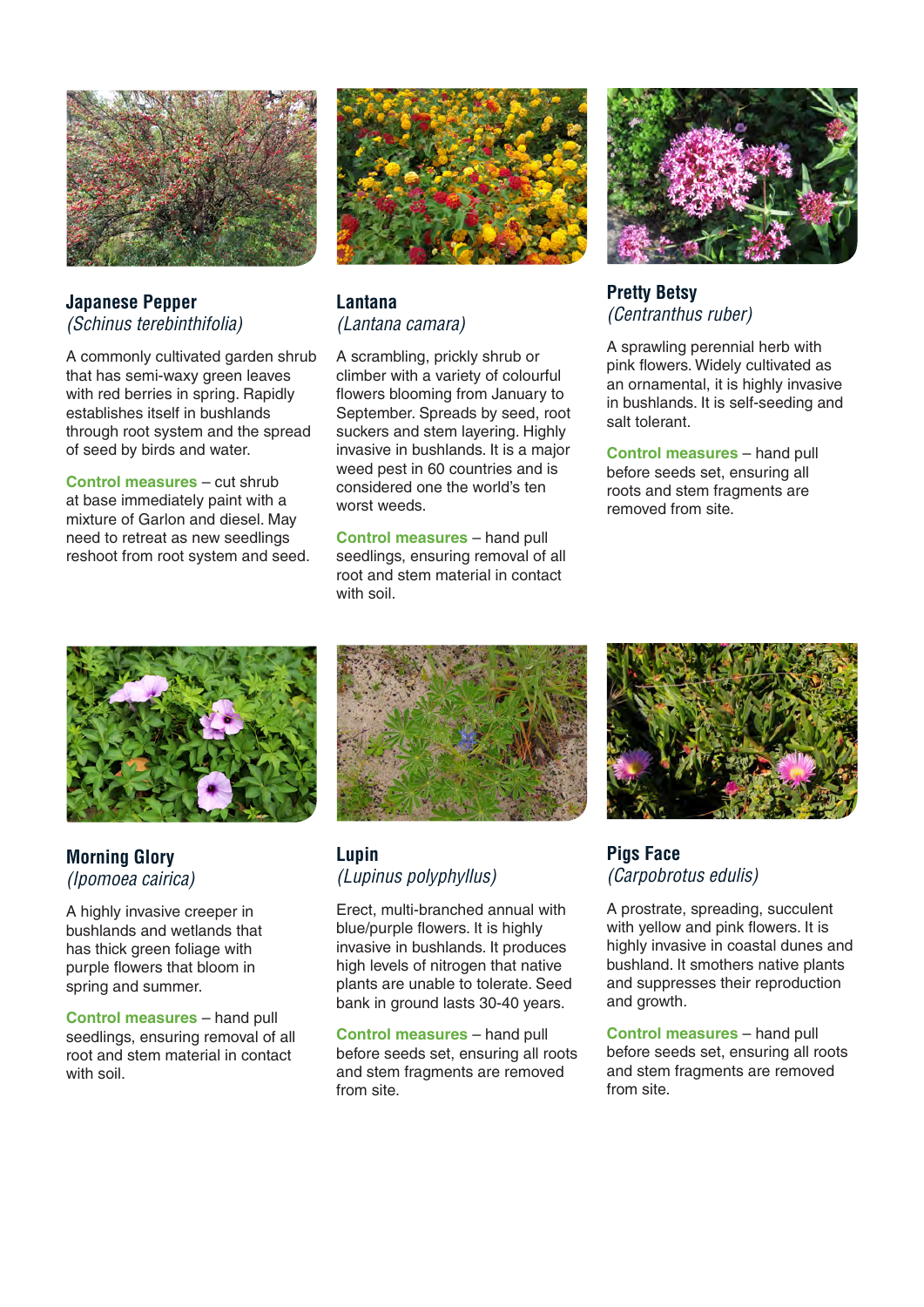

**Japanese Pepper**  *(Schinus terebinthifolia)*

A commonly cultivated garden shrub that has semi-waxy green leaves with red berries in spring. Rapidly establishes itself in bushlands through root system and the spread of seed by birds and water.

**Control measures** – cut shrub at base immediately paint with a mixture of Garlon and diesel. May need to retreat as new seedlings reshoot from root system and seed.



**Lantana**  *(Lantana camara)*

A scrambling, prickly shrub or climber with a variety of colourful flowers blooming from January to September. Spreads by seed, root suckers and stem layering. Highly invasive in bushlands. It is a major weed pest in 60 countries and is considered one the world's ten worst weeds.

**Control measures** – hand pull seedlings, ensuring removal of all root and stem material in contact with soil.



**Pretty Betsy**  *(Centranthus ruber)* 

A sprawling perennial herb with pink flowers. Widely cultivated as an ornamental, it is highly invasive in bushlands. It is self-seeding and salt tolerant.

**Control measures** – hand pull before seeds set, ensuring all roots and stem fragments are removed from site.



# **Morning Glory**  *(Ipomoea cairica)*

A highly invasive creeper in bushlands and wetlands that has thick green foliage with purple flowers that bloom in spring and summer.

**Control measures** – hand pull seedlings, ensuring removal of all root and stem material in contact with soil.



## **Lupin**  *(Lupinus polyphyllus)*

Erect, multi-branched annual with blue/purple flowers. It is highly invasive in bushlands. It produces high levels of nitrogen that native plants are unable to tolerate. Seed bank in ground lasts 30-40 years.

**Control measures** – hand pull before seeds set, ensuring all roots and stem fragments are removed from site.



**Pigs Face**  *(Carpobrotus edulis)*

A prostrate, spreading, succulent with yellow and pink flowers. It is highly invasive in coastal dunes and bushland. It smothers native plants and suppresses their reproduction and growth.

**Control measures** – hand pull before seeds set, ensuring all roots and stem fragments are removed from site.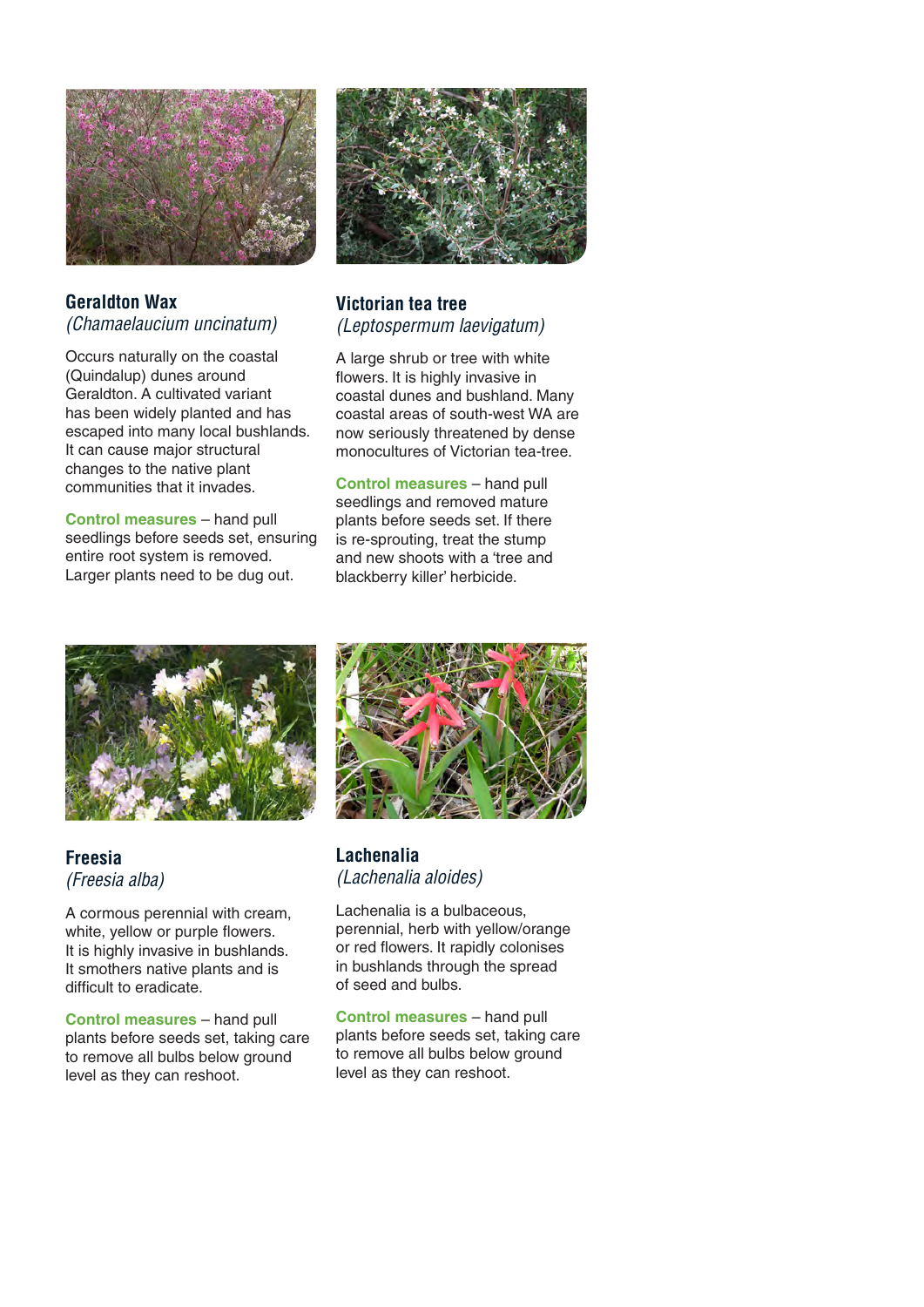

#### **Geraldton Wax** *(Chamaelaucium uncinatum)*

Occurs naturally on the coastal (Quindalup) dunes around Geraldton. A cultivated variant has been widely planted and has escaped into many local bushlands. It can cause major structural changes to the native plant communities that it invades.

**Control measures** – hand pull seedlings before seeds set, ensuring entire root system is removed. Larger plants need to be dug out.



#### **Victorian tea tree**  *(Leptospermum laevigatum)*

A large shrub or tree with white flowers. It is highly invasive in coastal dunes and bushland. Many coastal areas of south-west WA are now seriously threatened by dense monocultures of Victorian tea-tree.

**Control measures** – hand pull seedlings and removed mature plants before seeds set. If there is re-sprouting, treat the stump and new shoots with a 'tree and blackberry killer' herbicide.



#### **Freesia**  *(Freesia alba)*

A cormous perennial with cream, white, yellow or purple flowers. It is highly invasive in bushlands. It smothers native plants and is difficult to eradicate.

**Control measures** – hand pull plants before seeds set, taking care to remove all bulbs below ground level as they can reshoot.



**Lachenalia**  *(Lachenalia aloides)*

Lachenalia is a bulbaceous, perennial, herb with yellow/orange or red flowers. It rapidly colonises in bushlands through the spread of seed and bulbs.

**Control measures** – hand pull plants before seeds set, taking care to remove all bulbs below ground level as they can reshoot.